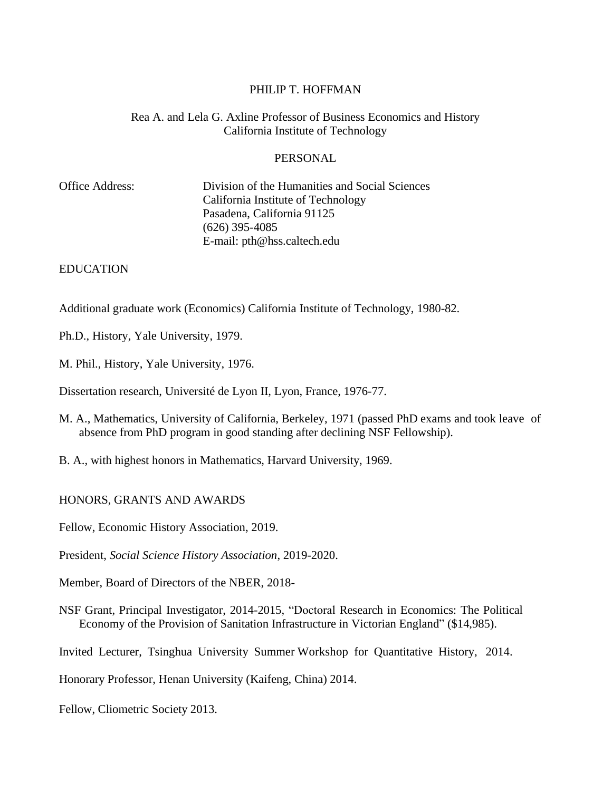#### PHILIP T. HOFFMAN

#### Rea A. and Lela G. Axline Professor of Business Economics and History California Institute of Technology

#### PERSONAL

| Office Address: | Division of the Humanities and Social Sciences |
|-----------------|------------------------------------------------|
|                 | California Institute of Technology             |
|                 | Pasadena, California 91125                     |
|                 | $(626)$ 395-4085                               |
|                 | E-mail: pth@hss.caltech.edu                    |
|                 |                                                |

#### EDUCATION

Additional graduate work (Economics) California Institute of Technology, 1980-82.

Ph.D., History, Yale University, 1979.

M. Phil., History, Yale University, 1976.

Dissertation research, Université de Lyon II, Lyon, France, 1976-77.

- M. A., Mathematics, University of California, Berkeley, 1971 (passed PhD exams and took leave of absence from PhD program in good standing after declining NSF Fellowship).
- B. A., with highest honors in Mathematics, Harvard University, 1969.

HONORS, GRANTS AND AWARDS

Fellow, Economic History Association, 2019.

President, *Social Science History Association*, 2019-2020.

Member, Board of Directors of the NBER, 2018-

NSF Grant, Principal Investigator, 2014-2015, "Doctoral Research in Economics: The Political Economy of the Provision of Sanitation Infrastructure in Victorian England" (\$14,985).

Invited Lecturer, Tsinghua University Summer Workshop for Quantitative History, 2014.

Honorary Professor, Henan University (Kaifeng, China) 2014.

Fellow, Cliometric Society 2013.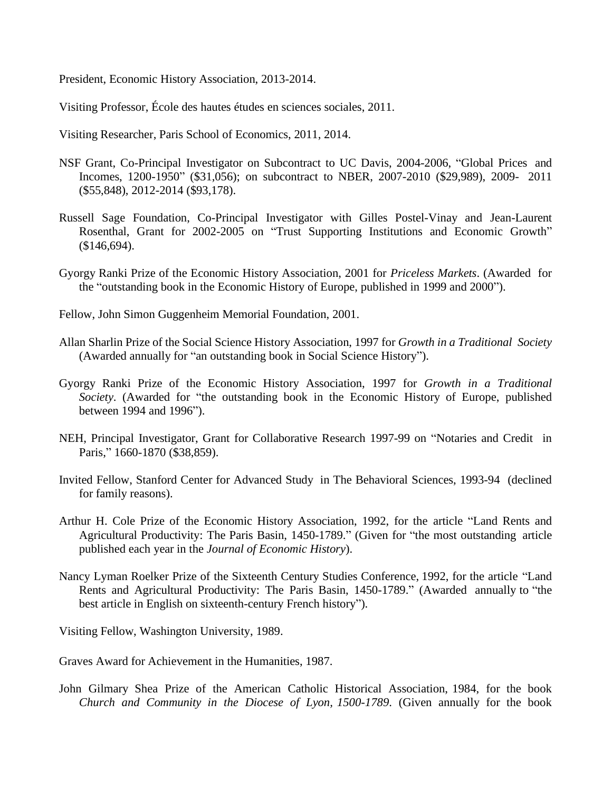President, Economic History Association, 2013-2014.

Visiting Professor, École des hautes études en sciences sociales, 2011.

Visiting Researcher, Paris School of Economics, 2011, 2014.

- NSF Grant, Co-Principal Investigator on Subcontract to UC Davis, 2004-2006, "Global Prices and Incomes, 1200-1950" (\$31,056); on subcontract to NBER, 2007-2010 (\$29,989), 2009- 2011 (\$55,848), 2012-2014 (\$93,178).
- Russell Sage Foundation, Co-Principal Investigator with Gilles Postel-Vinay and Jean-Laurent Rosenthal, Grant for 2002-2005 on "Trust Supporting Institutions and Economic Growth" (\$146,694).
- Gyorgy Ranki Prize of the Economic History Association, 2001 for *Priceless Markets*. (Awarded for the "outstanding book in the Economic History of Europe, published in 1999 and 2000").
- Fellow, John Simon Guggenheim Memorial Foundation, 2001.
- Allan Sharlin Prize of the Social Science History Association, 1997 for *Growth in a Traditional Society* (Awarded annually for "an outstanding book in Social Science History").
- Gyorgy Ranki Prize of the Economic History Association, 1997 for *Growth in a Traditional Society*. (Awarded for "the outstanding book in the Economic History of Europe, published between 1994 and 1996").
- NEH, Principal Investigator, Grant for Collaborative Research 1997-99 on "Notaries and Credit in Paris," 1660-1870 (\$38,859).
- Invited Fellow, Stanford Center for Advanced Study in The Behavioral Sciences, 1993-94 (declined for family reasons).
- Arthur H. Cole Prize of the Economic History Association, 1992, for the article "Land Rents and Agricultural Productivity: The Paris Basin, 1450-1789." (Given for "the most outstanding article published each year in the *Journal of Economic History*).
- Nancy Lyman Roelker Prize of the Sixteenth Century Studies Conference, 1992, for the article "Land Rents and Agricultural Productivity: The Paris Basin, 1450-1789." (Awarded annually to "the best article in English on sixteenth-century French history").

Visiting Fellow, Washington University, 1989.

Graves Award for Achievement in the Humanities, 1987.

John Gilmary Shea Prize of the American Catholic Historical Association, 1984, for the book *Church and Community in the Diocese of Lyon, 1500-1789*. (Given annually for the book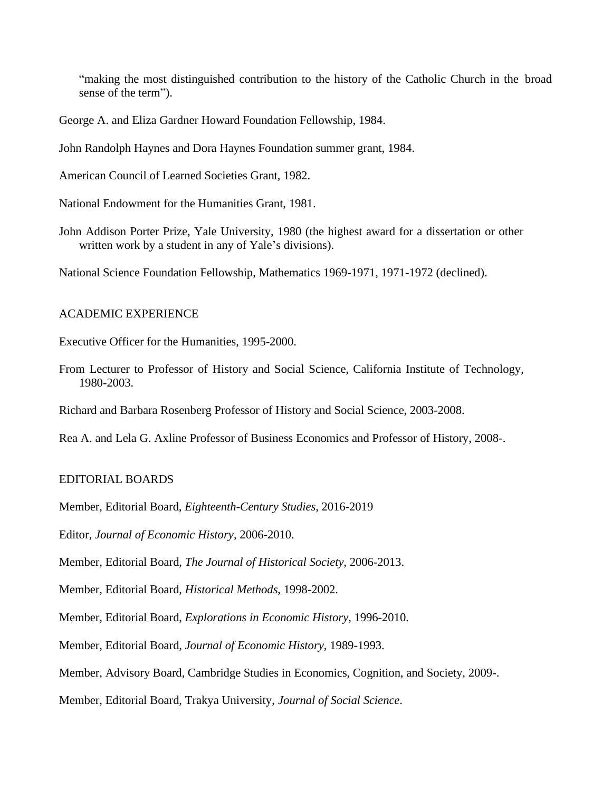"making the most distinguished contribution to the history of the Catholic Church in the broad sense of the term").

George A. and Eliza Gardner Howard Foundation Fellowship, 1984.

John Randolph Haynes and Dora Haynes Foundation summer grant, 1984.

American Council of Learned Societies Grant, 1982.

National Endowment for the Humanities Grant, 1981.

John Addison Porter Prize, Yale University, 1980 (the highest award for a dissertation or other written work by a student in any of Yale's divisions).

National Science Foundation Fellowship, Mathematics 1969-1971, 1971-1972 (declined).

#### ACADEMIC EXPERIENCE

Executive Officer for the Humanities, 1995-2000.

From Lecturer to Professor of History and Social Science, California Institute of Technology, 1980-2003.

Richard and Barbara Rosenberg Professor of History and Social Science, 2003-2008.

Rea A. and Lela G. Axline Professor of Business Economics and Professor of History, 2008-.

# EDITORIAL BOARDS

Member, Editorial Board, *Eighteenth-Century Studies*, 2016-2019

Editor, *Journal of Economic History*, 2006-2010.

Member, Editorial Board, *The Journal of Historical Society*, 2006-2013.

Member, Editorial Board, *Historical Methods*, 1998-2002.

Member, Editorial Board, *Explorations in Economic History*, 1996-2010.

Member, Editorial Board, *Journal of Economic History*, 1989-1993.

Member, Advisory Board, Cambridge Studies in Economics, Cognition, and Society, 2009-.

Member, Editorial Board, Trakya University, *Journal of Social Science*.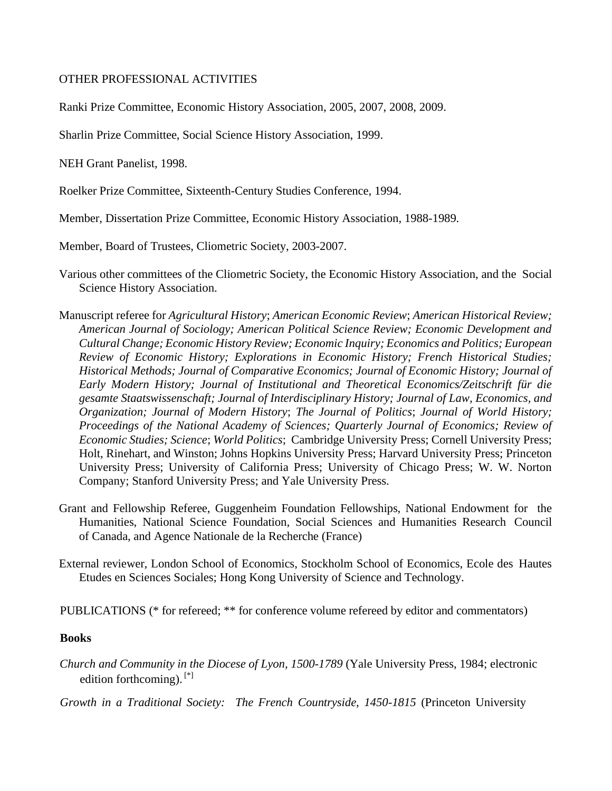# OTHER PROFESSIONAL ACTIVITIES

Ranki Prize Committee, Economic History Association, 2005, 2007, 2008, 2009.

Sharlin Prize Committee, Social Science History Association, 1999.

NEH Grant Panelist, 1998.

Roelker Prize Committee, Sixteenth-Century Studies Conference, 1994.

Member, Dissertation Prize Committee, Economic History Association, 1988-1989.

Member, Board of Trustees, Cliometric Society, 2003-2007.

- Various other committees of the Cliometric Society, the Economic History Association, and the Social Science History Association.
- Manuscript referee for *Agricultural History*; *American Economic Review*; *American Historical Review; American Journal of Sociology; American Political Science Review; Economic Development and Cultural Change; Economic History Review; Economic Inquiry; Economics and Politics; European Review of Economic History; Explorations in Economic History; French Historical Studies; Historical Methods; Journal of Comparative Economics; Journal of Economic History; Journal of Early Modern History; Journal of Institutional and Theoretical Economics/Zeitschrift für die gesamte Staatswissenschaft; Journal of Interdisciplinary History; Journal of Law, Economics, and Organization; Journal of Modern History*; *The Journal of Politics*; *Journal of World History; Proceedings of the National Academy of Sciences; Quarterly Journal of Economics; Review of Economic Studies; Science*; *World Politics*; Cambridge University Press; Cornell University Press; Holt, Rinehart, and Winston; Johns Hopkins University Press; Harvard University Press; Princeton University Press; University of California Press; University of Chicago Press; W. W. Norton Company; Stanford University Press; and Yale University Press.
- Grant and Fellowship Referee, Guggenheim Foundation Fellowships, National Endowment for the Humanities, National Science Foundation, Social Sciences and Humanities Research Council of Canada, and Agence Nationale de la Recherche (France)
- External reviewer, London School of Economics, Stockholm School of Economics, Ecole des Hautes Etudes en Sciences Sociales; Hong Kong University of Science and Technology.

PUBLICATIONS (\* for refereed; \*\* for conference volume refereed by editor and commentators)

#### **Books**

*Church and Community in the Diocese of Lyon, 1500-1789* (Yale University Press, 1984; electronic edition forthcoming). [\*]

*Growth in a Traditional Society: The French Countryside, 1450-1815* (Princeton University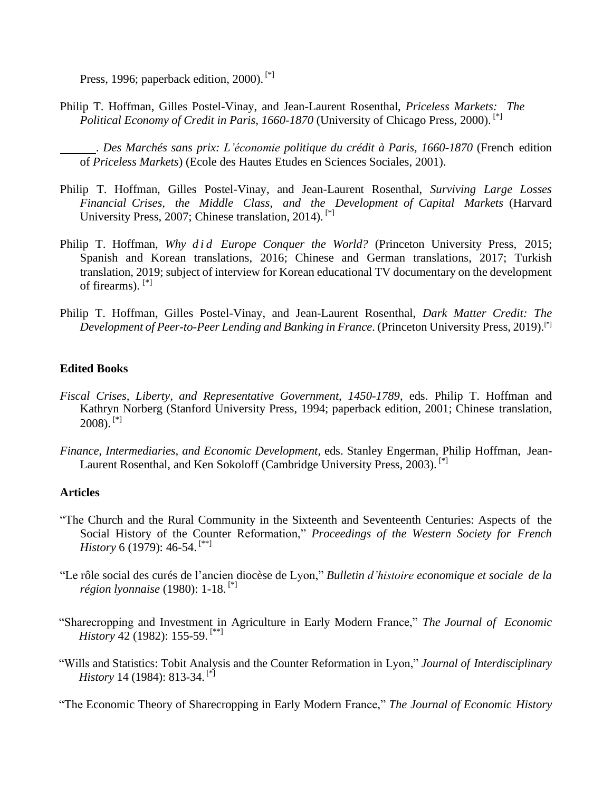Press, 1996; paperback edition, 2000).<sup>[\*]</sup>

Philip T. Hoffman, Gilles Postel-Vinay, and Jean-Laurent Rosenthal, *Priceless Markets: The Political Economy of Credit in Paris, 1660-1870* (University of Chicago Press, 2000).<sup>[\*]</sup>

. *Des Marchés sans prix: L'économie politique du crédit à Paris, 1660-1870* (French edition of *Priceless Markets*) (Ecole des Hautes Etudes en Sciences Sociales, 2001).

- Philip T. Hoffman, Gilles Postel-Vinay, and Jean-Laurent Rosenthal, *Surviving Large Losses Financial Crises, the Middle Class, and the Development of Capital Markets* (Harvard University Press, 2007; Chinese translation, 2014). [\*]
- Philip T. Hoffman, *Why did Europe Conquer the World?* (Princeton University Press, 2015; Spanish and Korean translations, 2016; Chinese and German translations, 2017; Turkish translation, 2019; subject of interview for Korean educational TV documentary on the development of firearms). [\*]
- Philip T. Hoffman, Gilles Postel-Vinay, and Jean-Laurent Rosenthal, *Dark Matter Credit: The Development of Peer-to-Peer Lending and Banking in France*. (Princeton University Press, 2019).[\*]

# **Edited Books**

- *Fiscal Crises, Liberty, and Representative Government, 1450-1789*, eds. Philip T. Hoffman and Kathryn Norberg (Stanford University Press, 1994; paperback edition, 2001; Chinese translation, 2008). [\*]
- *Finance, Intermediaries, and Economic Development*, eds. Stanley Engerman, Philip Hoffman, Jean-Laurent Rosenthal, and Ken Sokoloff (Cambridge University Press, 2003).<sup>[\*]</sup>

# **Articles**

- "The Church and the Rural Community in the Sixteenth and Seventeenth Centuries: Aspects of the Social History of the Counter Reformation," *Proceedings of the Western Society for French History* 6 (1979): 46-54.<sup>[\*\*]</sup>
- "Le rôle social des curés de l'ancien diocèse de Lyon," *Bulletin d'histoire economique et sociale de la région lyonnaise* (1980): 1-18. [\*]
- "Sharecropping and Investment in Agriculture in Early Modern France," *The Journal of Economic History* 42 (1982): 155-59. [\*\*]
- "Wills and Statistics: Tobit Analysis and the Counter Reformation in Lyon," *Journal of Interdisciplinary History* 14 (1984): 813-34. [\*]

"The Economic Theory of Sharecropping in Early Modern France," *The Journal of Economic History*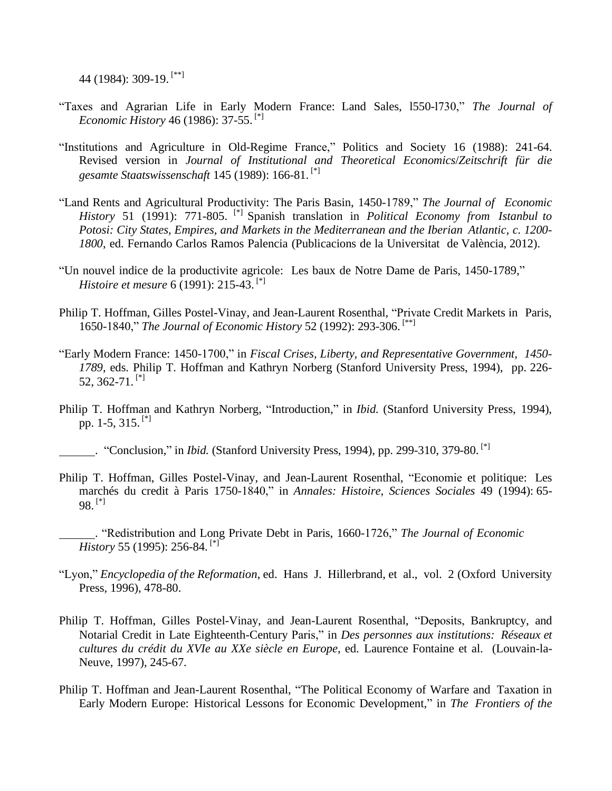44 (1984): 309-19. [\*\*]

- "Taxes and Agrarian Life in Early Modern France: Land Sales, l550-l730," *The Journal of Economic History* 46 (1986): 37-55. [\*]
- "Institutions and Agriculture in Old-Regime France," Politics and Society 16 (1988): 241-64. Revised version in *Journal of Institutional and Theoretical Economics*/*Zeitschrift für die gesamte Staatswissenschaft* 145 (1989): 166-81. [\*]
- "Land Rents and Agricultural Productivity: The Paris Basin, 1450-1789," *The Journal of Economic History* 51 (1991): 771-805. [\*] Spanish translation in *Political Economy from Istanbul to Potosi: City States, Empires, and Markets in the Mediterranean and the Iberian Atlantic, c. 1200- 1800*, ed. Fernando Carlos Ramos Palencia (Publicacions de la Universitat de València, 2012).
- "Un nouvel indice de la productivite agricole: Les baux de Notre Dame de Paris, 1450-1789," *Histoire et mesure* 6 (1991): 215-43. [\*]
- Philip T. Hoffman, Gilles Postel-Vinay, and Jean-Laurent Rosenthal, "Private Credit Markets in Paris, 1650-1840," *The Journal of Economic History* 52 (1992): 293-306. [\*\*]
- "Early Modern France: 1450-1700," in *Fiscal Crises, Liberty, and Representative Government, 1450- 1789*, eds. Philip T. Hoffman and Kathryn Norberg (Stanford University Press, 1994), pp. 226- 52, 362-71.<sup>[\*]</sup>
- Philip T. Hoffman and Kathryn Norberg, "Introduction," in *Ibid.* (Stanford University Press, 1994), pp. 1-5,  $315$ . [\*]

Philip T. Hoffman, Gilles Postel-Vinay, and Jean-Laurent Rosenthal, "Economie et politique: Les marchés du credit à Paris 1750-1840," in *Annales: Histoire, Sciences Sociales* 49 (1994): 65-  $98.$ <sup>[\*]</sup>

. "Redistribution and Long Private Debt in Paris, 1660-1726," *The Journal of Economic History* 55 (1995): 256-84. [\*]

- "Lyon," *Encyclopedia of the Reformation*, ed. Hans J. Hillerbrand, et al., vol. 2 (Oxford University Press, 1996), 478-80.
- Philip T. Hoffman, Gilles Postel-Vinay, and Jean-Laurent Rosenthal, "Deposits, Bankruptcy, and Notarial Credit in Late Eighteenth-Century Paris," in *Des personnes aux institutions: Réseaux et cultures du crédit du XVIe au XXe siècle en Europe*, ed. Laurence Fontaine et al. (Louvain-la-Neuve, 1997), 245-67.
- Philip T. Hoffman and Jean-Laurent Rosenthal, "The Political Economy of Warfare and Taxation in Early Modern Europe: Historical Lessons for Economic Development," in *The Frontiers of the*

<sup>.</sup> "Conclusion," in *Ibid.* (Stanford University Press, 1994), pp. 299-310, 379-80. [\*]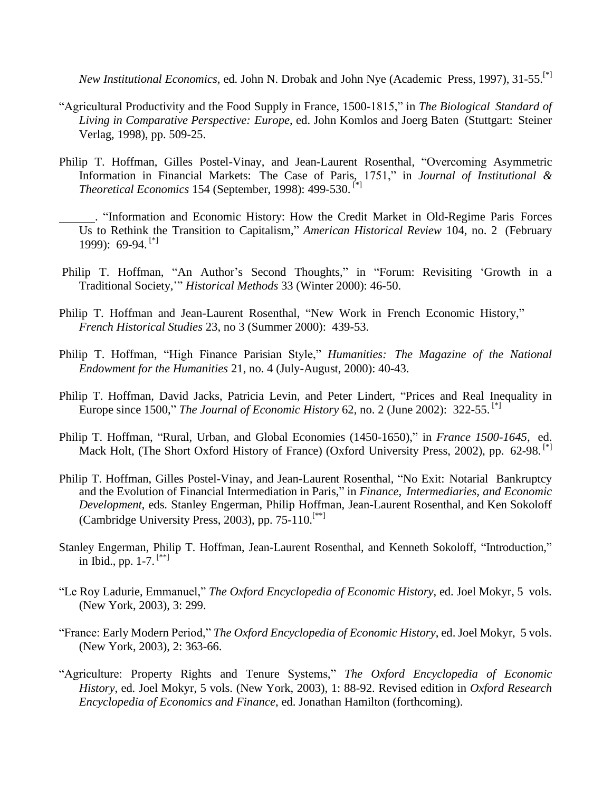*New Institutional Economics*, ed. John N. Drobak and John Nye (Academic Press, 1997), 31-55.[\*]

- "Agricultural Productivity and the Food Supply in France, 1500-1815," in *The Biological Standard of Living in Comparative Perspective: Europe*, ed. John Komlos and Joerg Baten (Stuttgart: Steiner Verlag, 1998), pp. 509-25.
- Philip T. Hoffman, Gilles Postel-Vinay, and Jean-Laurent Rosenthal, "Overcoming Asymmetric Information in Financial Markets: The Case of Paris, 1751," in *Journal of Institutional & Theoretical Economics* 154 (September, 1998): 499-530. [\*]
	- . "Information and Economic History: How the Credit Market in Old-Regime Paris Forces Us to Rethink the Transition to Capitalism," *American Historical Review* 104, no. 2 (February 1999):  $69-94$ . [\*]
- Philip T. Hoffman, "An Author's Second Thoughts," in "Forum: Revisiting 'Growth in a Traditional Society,'" *Historical Methods* 33 (Winter 2000): 46-50.
- Philip T. Hoffman and Jean-Laurent Rosenthal, "New Work in French Economic History," *French Historical Studies* 23, no 3 (Summer 2000): 439-53.
- Philip T. Hoffman, "High Finance Parisian Style," *Humanities: The Magazine of the National Endowment for the Humanities* 21, no. 4 (July-August, 2000): 40-43.
- Philip T. Hoffman, David Jacks, Patricia Levin, and Peter Lindert, "Prices and Real Inequality in Europe since 1500," *The Journal of Economic History* 62, no. 2 (June 2002): 322-55. [\*]
- Philip T. Hoffman, "Rural, Urban, and Global Economies (1450-1650)," in *France 1500-1645*, ed. Mack Holt, (The Short Oxford History of France) (Oxford University Press, 2002), pp. 62-98.<sup>[\*]</sup>
- Philip T. Hoffman, Gilles Postel-Vinay, and Jean-Laurent Rosenthal, "No Exit: Notarial Bankruptcy and the Evolution of Financial Intermediation in Paris," in *Finance, Intermediaries, and Economic Development*, eds. Stanley Engerman, Philip Hoffman, Jean-Laurent Rosenthal, and Ken Sokoloff (Cambridge University Press, 2003), pp. 75-110.<sup>[\*\*]</sup>
- Stanley Engerman, Philip T. Hoffman, Jean-Laurent Rosenthal, and Kenneth Sokoloff, "Introduction," in Ibid., pp. 1-7. [\*\*]
- "Le Roy Ladurie, Emmanuel," *The Oxford Encyclopedia of Economic History*, ed. Joel Mokyr, 5 vols. (New York, 2003), 3: 299.
- "France: Early Modern Period," *The Oxford Encyclopedia of Economic History*, ed. Joel Mokyr, 5 vols. (New York, 2003), 2: 363-66.
- "Agriculture: Property Rights and Tenure Systems," *The Oxford Encyclopedia of Economic History*, ed. Joel Mokyr, 5 vols. (New York, 2003), 1: 88-92. Revised edition in *Oxford Research Encyclopedia of Economics and Finance*, ed. Jonathan Hamilton (forthcoming).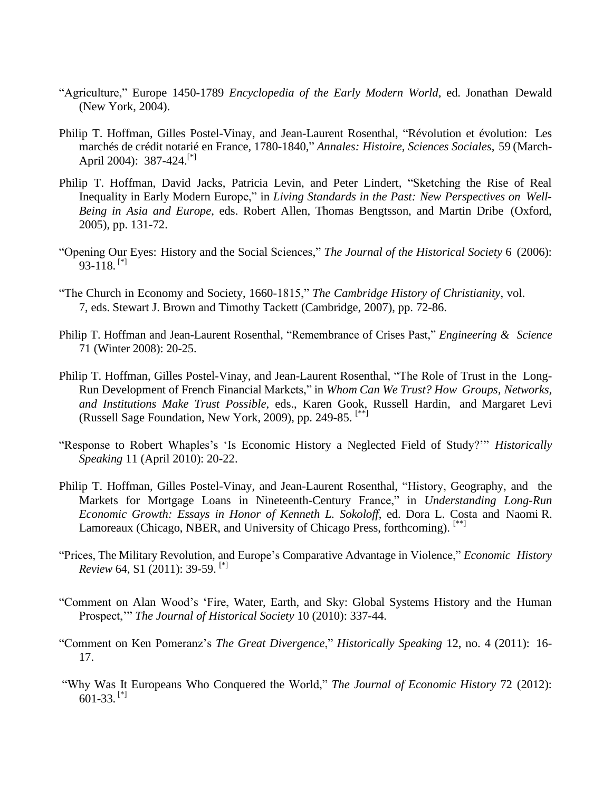- "Agriculture," Europe 1450-1789 *Encyclopedia of the Early Modern World*, ed. Jonathan Dewald (New York, 2004).
- Philip T. Hoffman, Gilles Postel-Vinay, and Jean-Laurent Rosenthal, "Révolution et évolution: Les marchés de crédit notarié en France, 1780-1840," *Annales: Histoire, Sciences Sociales*, 59 (March-April 2004): 387-424.<sup>[\*]</sup>
- Philip T. Hoffman, David Jacks, Patricia Levin, and Peter Lindert, "Sketching the Rise of Real Inequality in Early Modern Europe," in *Living Standards in the Past: New Perspectives on Well-Being in Asia and Europe*, eds. Robert Allen, Thomas Bengtsson, and Martin Dribe (Oxford, 2005), pp. 131-72.
- "Opening Our Eyes: History and the Social Sciences," *The Journal of the Historical Society* 6 (2006):  $93-118$ . [\*]
- "The Church in Economy and Society, 1660-1815," *The Cambridge History of Christianity*, vol. 7, eds. Stewart J. Brown and Timothy Tackett (Cambridge, 2007), pp. 72-86.
- Philip T. Hoffman and Jean-Laurent Rosenthal, "Remembrance of Crises Past," *Engineering & Science* 71 (Winter 2008): 20-25.
- Philip T. Hoffman, Gilles Postel-Vinay, and Jean-Laurent Rosenthal, "The Role of Trust in the Long-Run Development of French Financial Markets," in *Whom Can We Trust? How Groups, Networks, and Institutions Make Trust Possible*, eds., Karen Gook, Russell Hardin, and Margaret Levi (Russell Sage Foundation, New York, 2009), pp. 249-85. [\*\*]
- "Response to Robert Whaples's 'Is Economic History a Neglected Field of Study?'" *Historically Speaking* 11 (April 2010): 20-22.
- Philip T. Hoffman, Gilles Postel-Vinay, and Jean-Laurent Rosenthal, "History, Geography, and the Markets for Mortgage Loans in Nineteenth-Century France," in *Understanding Long-Run Economic Growth: Essays in Honor of Kenneth L. Sokoloff*, ed. Dora L. Costa and Naomi R. Lamoreaux (Chicago, NBER, and University of Chicago Press, forthcoming).<sup>[\*\*]</sup>
- "Prices, The Military Revolution, and Europe's Comparative Advantage in Violence," *Economic History Review* 64, S1 (2011): 39-59.<sup>[\*]</sup>
- "Comment on Alan Wood's 'Fire, Water, Earth, and Sky: Global Systems History and the Human Prospect,'" *The Journal of Historical Society* 10 (2010): 337-44.
- "Comment on Ken Pomeranz's *The Great Divergence*," *Historically Speaking* 12, no. 4 (2011): 16- 17.
- "Why Was It Europeans Who Conquered the World," *The Journal of Economic History* 72 (2012):  $601-33$ . [\*]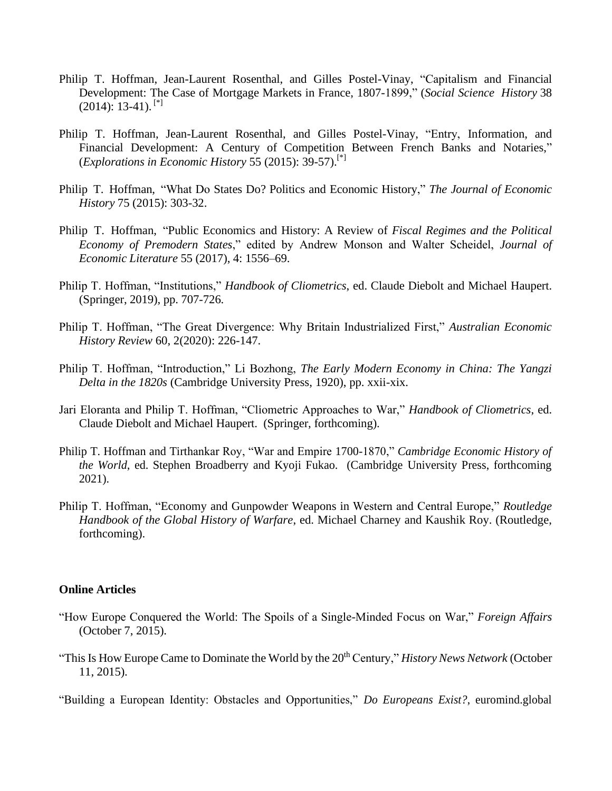- Philip T. Hoffman, Jean-Laurent Rosenthal, and Gilles Postel-Vinay, "Capitalism and Financial Development: The Case of Mortgage Markets in France, 1807-1899," (*Social Science History* 38  $(2014): 13-41.$ <sup>[\*]</sup>
- Philip T. Hoffman, Jean-Laurent Rosenthal, and Gilles Postel-Vinay, "Entry, Information, and Financial Development: A Century of Competition Between French Banks and Notaries," (*Explorations in Economic History* 55 (2015): 39-57).[\*]
- Philip T. Hoffman, "What Do States Do? Politics and Economic History," *The Journal of Economic History* 75 (2015): 303-32.
- Philip T. Hoffman, "Public Economics and History: A Review of *Fiscal Regimes and the Political Economy of Premodern States*," edited by Andrew Monson and Walter Scheidel, *Journal of Economic Literature* 55 (2017), 4: 1556–69.
- Philip T. Hoffman, "Institutions," *Handbook of Cliometrics*, ed. Claude Diebolt and Michael Haupert. (Springer, 2019), pp. 707-726.
- Philip T. Hoffman, "The Great Divergence: Why Britain Industrialized First," *Australian Economic History Review* 60, 2(2020): 226-147.
- Philip T. Hoffman, "Introduction," Li Bozhong, *The Early Modern Economy in China: The Yangzi Delta in the 1820s* (Cambridge University Press, 1920), pp. xxii-xix.
- Jari Eloranta and Philip T. Hoffman, "Cliometric Approaches to War," *Handbook of Cliometrics*, ed. Claude Diebolt and Michael Haupert. (Springer, forthcoming).
- Philip T. Hoffman and Tirthankar Roy, "War and Empire 1700-1870," *Cambridge Economic History of the World*, ed. Stephen Broadberry and Kyoji Fukao. (Cambridge University Press, forthcoming 2021).
- Philip T. Hoffman, "Economy and Gunpowder Weapons in Western and Central Europe," *Routledge Handbook of the Global History of Warfare*, ed. Michael Charney and Kaushik Roy. (Routledge, forthcoming).

#### **Online Articles**

- "How Europe Conquered the World: The Spoils of a Single-Minded Focus on War," *Foreign Affairs*  (October 7, 2015).
- "This Is How Europe Came to Dominate the World by the 20<sup>th</sup> Century," *History News Network* (October 11, 2015).
- "Building a European Identity: Obstacles and Opportunities," *Do Europeans Exist?*, euromind.global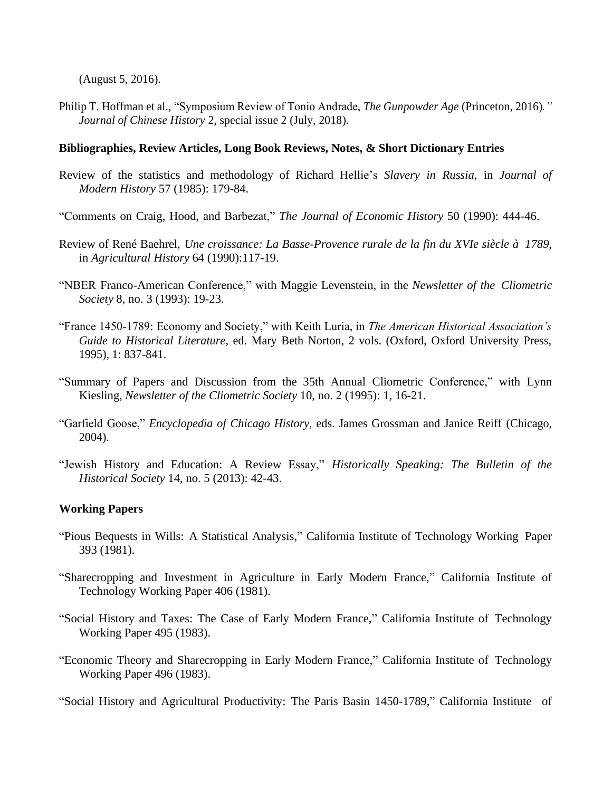(August 5, 2016).

Philip T. Hoffman et al., "Symposium Review of Tonio Andrade, *The Gunpowder Age* (Princeton, 2016)*." Journal of Chinese History* 2, special issue 2 (July, 2018).

# **Bibliographies, Review Articles, Long Book Reviews, Notes, & Short Dictionary Entries**

- Review of the statistics and methodology of Richard Hellie's *Slavery in Russia*, in *Journal of Modern History* 57 (1985): 179-84.
- "Comments on Craig, Hood, and Barbezat," *The Journal of Economic History* 50 (1990): 444-46.
- Review of René Baehrel, *Une croissance: La Basse-Provence rurale de la fin du XVIe siècle à 1789*, in *Agricultural History* 64 (1990):117-19.
- "NBER Franco-American Conference," with Maggie Levenstein, in the *Newsletter of the Cliometric Society* 8, no. 3 (1993): 19-23.
- "France 1450-1789: Economy and Society," with Keith Luria, in *The American Historical Association's Guide to Historical Literature*, ed. Mary Beth Norton, 2 vols. (Oxford, Oxford University Press, 1995), 1: 837-841.
- "Summary of Papers and Discussion from the 35th Annual Cliometric Conference," with Lynn Kiesling, *Newsletter of the Cliometric Society* 10, no. 2 (1995): 1, 16-21.
- "Garfield Goose," *Encyclopedia of Chicago History*, eds. James Grossman and Janice Reiff (Chicago, 2004).
- "Jewish History and Education: A Review Essay," *Historically Speaking: The Bulletin of the Historical Society* 14, no. 5 (2013): 42-43.

# **Working Papers**

- "Pious Bequests in Wills: A Statistical Analysis," California Institute of Technology Working Paper 393 (1981).
- "Sharecropping and Investment in Agriculture in Early Modern France," California Institute of Technology Working Paper 406 (1981).
- "Social History and Taxes: The Case of Early Modern France," California Institute of Technology Working Paper 495 (1983).
- "Economic Theory and Sharecropping in Early Modern France," California Institute of Technology Working Paper 496 (1983).

"Social History and Agricultural Productivity: The Paris Basin 1450-1789," California Institute of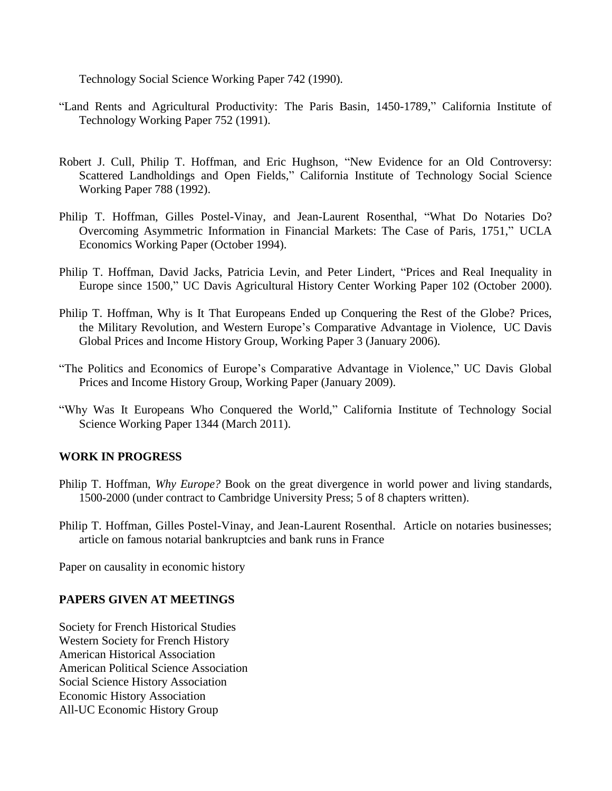Technology Social Science Working Paper 742 (1990).

- "Land Rents and Agricultural Productivity: The Paris Basin, 1450-1789," California Institute of Technology Working Paper 752 (1991).
- Robert J. Cull, Philip T. Hoffman, and Eric Hughson, "New Evidence for an Old Controversy: Scattered Landholdings and Open Fields," California Institute of Technology Social Science Working Paper 788 (1992).
- Philip T. Hoffman, Gilles Postel-Vinay, and Jean-Laurent Rosenthal, "What Do Notaries Do? Overcoming Asymmetric Information in Financial Markets: The Case of Paris, 1751," UCLA Economics Working Paper (October 1994).
- Philip T. Hoffman, David Jacks, Patricia Levin, and Peter Lindert, "Prices and Real Inequality in Europe since 1500," UC Davis Agricultural History Center Working Paper 102 (October 2000).
- Philip T. Hoffman, Why is It That Europeans Ended up Conquering the Rest of the Globe? Prices, the Military Revolution, and Western Europe's Comparative Advantage in Violence, UC Davis Global Prices and Income History Group, Working Paper 3 (January 2006).
- "The Politics and Economics of Europe's Comparative Advantage in Violence," UC Davis Global Prices and Income History Group, Working Paper (January 2009).
- "Why Was It Europeans Who Conquered the World," California Institute of Technology Social Science Working Paper 1344 (March 2011).

# **WORK IN PROGRESS**

- Philip T. Hoffman, *Why Europe?* Book on the great divergence in world power and living standards, 1500-2000 (under contract to Cambridge University Press; 5 of 8 chapters written).
- Philip T. Hoffman, Gilles Postel-Vinay, and Jean-Laurent Rosenthal. Article on notaries businesses; article on famous notarial bankruptcies and bank runs in France

Paper on causality in economic history

# **PAPERS GIVEN AT MEETINGS**

Society for French Historical Studies Western Society for French History American Historical Association American Political Science Association Social Science History Association Economic History Association All-UC Economic History Group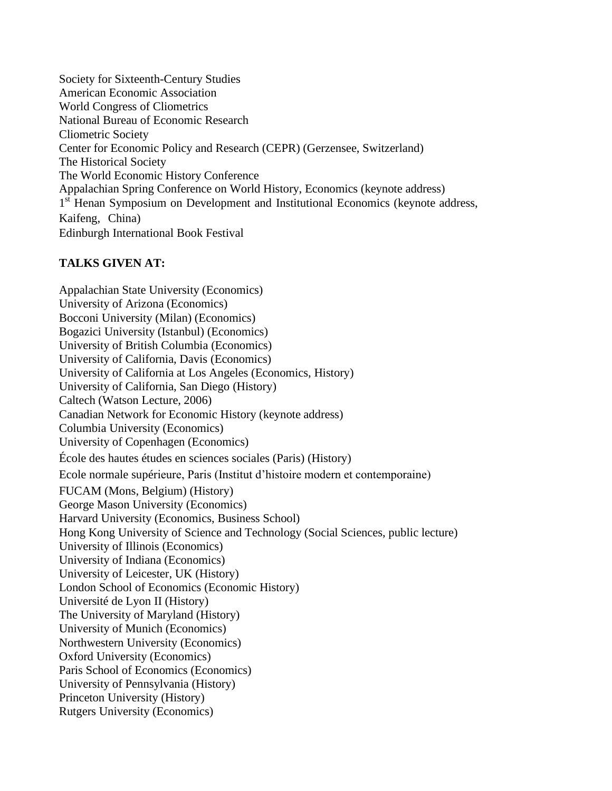Society for Sixteenth-Century Studies American Economic Association World Congress of Cliometrics National Bureau of Economic Research Cliometric Society Center for Economic Policy and Research (CEPR) (Gerzensee, Switzerland) The Historical Society The World Economic History Conference Appalachian Spring Conference on World History, Economics (keynote address) 1<sup>st</sup> Henan Symposium on Development and Institutional Economics (keynote address, Kaifeng, China) Edinburgh International Book Festival

# **TALKS GIVEN AT:**

Appalachian State University (Economics) University of Arizona (Economics) Bocconi University (Milan) (Economics) Bogazici University (Istanbul) (Economics) University of British Columbia (Economics) University of California, Davis (Economics) University of California at Los Angeles (Economics, History) University of California, San Diego (History) Caltech (Watson Lecture, 2006) Canadian Network for Economic History (keynote address) Columbia University (Economics) University of Copenhagen (Economics) École des hautes études en sciences sociales (Paris) (History) Ecole normale supérieure, Paris (Institut d'histoire modern et contemporaine) FUCAM (Mons, Belgium) (History) George Mason University (Economics) Harvard University (Economics, Business School) Hong Kong University of Science and Technology (Social Sciences, public lecture) University of Illinois (Economics) University of Indiana (Economics) University of Leicester, UK (History) London School of Economics (Economic History) Université de Lyon II (History) The University of Maryland (History) University of Munich (Economics) Northwestern University (Economics) Oxford University (Economics) Paris School of Economics (Economics) University of Pennsylvania (History) Princeton University (History) Rutgers University (Economics)